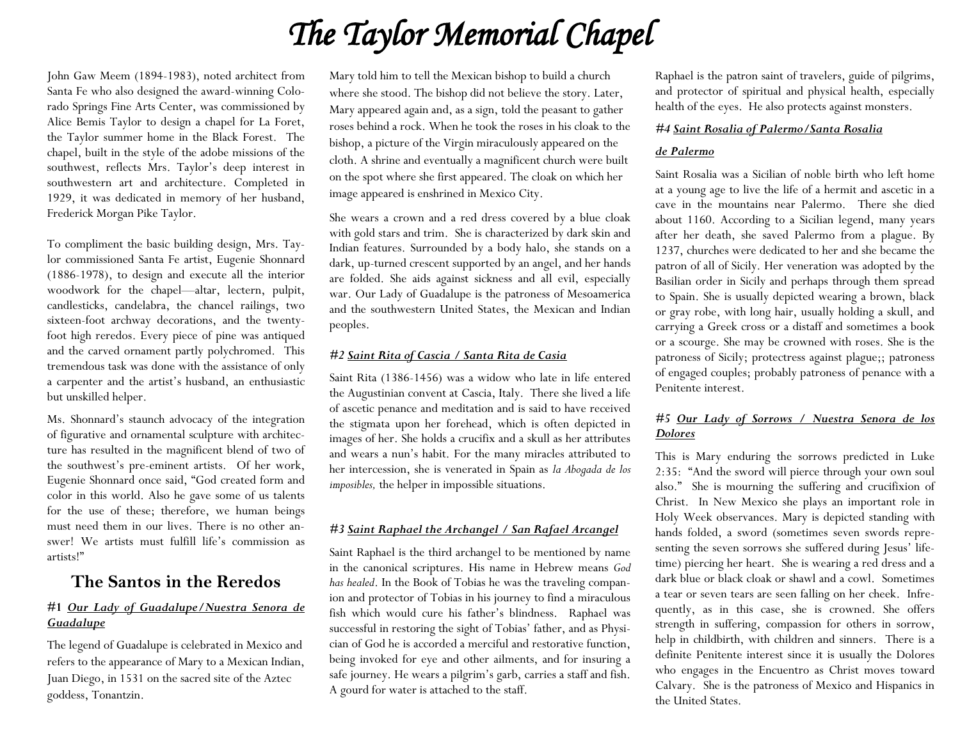# *The Taylor Memorial Chapel*

John Gaw Meem (1894-1983), noted architect from Santa Fe who also designed the award-winning Colorado Springs Fine Arts Center, was commissioned by Alice Bemis Taylor to design a chapel for La Foret, the Taylor summer home in the Black Forest. The chapel, built in the style of the adobe missions of the southwest, reflects Mrs. Taylor's deep interest in southwestern art and architecture. Completed in 1929, it was dedicated in memory of her husband, Frederick Morgan Pike Taylor.

To compliment the basic building design, Mrs. Taylor commissioned Santa Fe artist, Eugenie Shonnard (1886-1978), to design and execute all the interior woodwork for the chapel—altar, lectern, pulpit, candlesticks, candelabra, the chancel railings, two sixteen-foot archway decorations, and the twentyfoot high reredos. Every piece of pine was antiqued and the carved ornament partly polychromed. This tremendous task was done with the assistance of only a carpenter and the artist's husband, an enthusiastic but unskilled helper.

Ms. Shonnard's staunch advocacy of the integration of figurative and ornamental sculpture with architecture has resulted in the magnificent blend of two of the southwest's pre-eminent artists. Of her work, Eugenie Shonnard once said, "God created form and color in this world. Also he gave some of us talents for the use of these; therefore, we human beings must need them in our lives. There is no other answer! We artists must fulfill life's commission as artists!"

## **The Santos in the Reredos**

#### **#1** *Our Lady of Guadalupe/Nuestra Senora de Guadalupe*

The legend of Guadalupe is celebrated in Mexico and refers to the appearance of Mary to a Mexican Indian, Juan Diego, in 1531 on the sacred site of the Aztec goddess, Tonantzin.

Mary told him to tell the Mexican bishop to build a church where she stood. The bishop did not believe the story. Later, Mary appeared again and, as a sign, told the peasant to gather roses behind a rock. When he took the roses in his cloak to the bishop, a picture of the Virgin miraculously appeared on the cloth. A shrine and eventually a magnificent church were built on the spot where she first appeared. The cloak on which her image appeared is enshrined in Mexico City.

She wears a crown and a red dress covered by a blue cloak with gold stars and trim. She is characterized by dark skin and Indian features. Surrounded by a body halo, she stands on a dark, up-turned crescent supported by an angel, and her hands are folded. She aids against sickness and all evil, especially war. Our Lady of Guadalupe is the patroness of Mesoamerica and the southwestern United States, the Mexican and Indian peoples.

#### *#2 Saint Rita of Cascia / Santa Rita de Casia*

Saint Rita (1386-1456) was a widow who late in life entered the Augustinian convent at Cascia, Italy. There she lived a life of ascetic penance and meditation and is said to have received the stigmata upon her forehead, which is often depicted in images of her. She holds a crucifix and a skull as her attributes and wears a nun's habit. For the many miracles attributed to her intercession, she is venerated in Spain as *la Abogada de los imposibles,* the helper in impossible situations.

#### *#3 Saint Raphael the Archangel / San Rafael Arcangel*

Saint Raphael is the third archangel to be mentioned by name in the canonical scriptures. His name in Hebrew means *God has healed*. In the Book of Tobias he was the traveling companion and protector of Tobias in his journey to find a miraculous fish which would cure his father's blindness. Raphael was successful in restoring the sight of Tobias' father, and as Physician of God he is accorded a merciful and restorative function, being invoked for eye and other ailments, and for insuring a safe journey. He wears a pilgrim's garb, carries a staff and fish. A gourd for water is attached to the staff.

Raphael is the patron saint of travelers, guide of pilgrims, and protector of spiritual and physical health, especially health of the eyes. He also protects against monsters.

#### *#4 Saint Rosalia of Palermo/Santa Rosalia*

#### *de Palermo*

Saint Rosalia was a Sicilian of noble birth who left home at a young age to live the life of a hermit and ascetic in a cave in the mountains near Palermo. There she died about 1160. According to a Sicilian legend, many years after her death, she saved Palermo from a plague. By 1237, churches were dedicated to her and she became the patron of all of Sicily. Her veneration was adopted by the Basilian order in Sicily and perhaps through them spread to Spain. She is usually depicted wearing a brown, black or gray robe, with long hair, usually holding a skull, and carrying a Greek cross or a distaff and sometimes a book or a scourge. She may be crowned with roses. She is the patroness of Sicily; protectress against plague;; patroness of engaged couples; probably patroness of penance with a Penitente interest.

#### *#5 Our Lady of Sorrows / Nuestra Senora de los Dolores*

This is Mary enduring the sorrows predicted in Luke 2:35: "And the sword will pierce through your own soul also." She is mourning the suffering and crucifixion of Christ. In New Mexico she plays an important role in Holy Week observances. Mary is depicted standing with hands folded, a sword (sometimes seven swords representing the seven sorrows she suffered during Jesus' lifetime) piercing her heart. She is wearing a red dress and a dark blue or black cloak or shawl and a cowl. Sometimes a tear or seven tears are seen falling on her cheek. Infrequently, as in this case, she is crowned. She offers strength in suffering, compassion for others in sorrow, help in childbirth, with children and sinners. There is a definite Penitente interest since it is usually the Dolores who engages in the Encuentro as Christ moves toward Calvary. She is the patroness of Mexico and Hispanics in the United States.